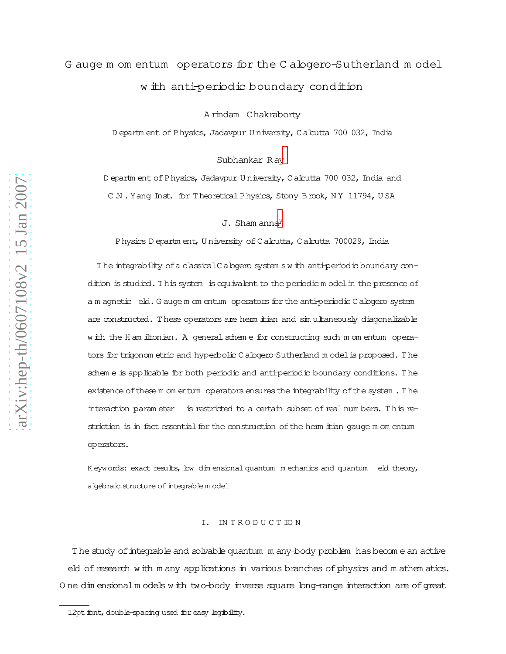# G auge m om entum operators for the C alogero-Sutherland m ode l w ith anti-periodic boundary condition

A rindam Chakraborty

D epartm ent of Physics, Jadavpur U niversity, Calcutta 700 032, India

Subhankar R a[y](#page-11-0)

D epartm ent of Physics, Jadavpur U niversity, Calcutta 700 032, India and C.N. Yang Inst. for Theoretical Physics, Stony Brook, NY 11794, USA

 $J.$  Sham anna $Y$ 

Physics D epartm ent, U niversity of Calcutta, Calcutta 700029, India

T he integrability ofa classicalC alogero system sw ith anti-periodic boundary condition is studied. This system is equivalent to the periodic model in the presence of a m agnetic eld. G auge m om entum operators for the anti-periodic C alogero system are constructed. These operators are herm itian and simultaneously diagonalizable w ith the H am iltonian. A general schem e for constructing such m om entum operators for trigonom etric and hyperbolic C alogero-Sutherland m odelis proposed. T he schem e is applicable for both periodic and anti-periodic boundary conditions. T he existence of these m om entum operators ensures the integrability of the system . The interaction param eter is restricted to a certain subset of real numbers. This restriction is in fact essential for the construction of the herm itian gauge m om entum operators.

K eywords: exact results, low dim ensional quantum m echanics and quantum eld theory, algebraic structure of integrable m odel

### I. IN T R O D U C T IO N

The study ofintegrable and solvable quantum m any-body problem hasbecom e an active eld of research with m any applications in various branches of physics and m athem atics. O ne dim ensionalm odels with two-body inverse square long-range interaction are ofgreat

<sup>12</sup>pt font, double-spacing used for easy legibility.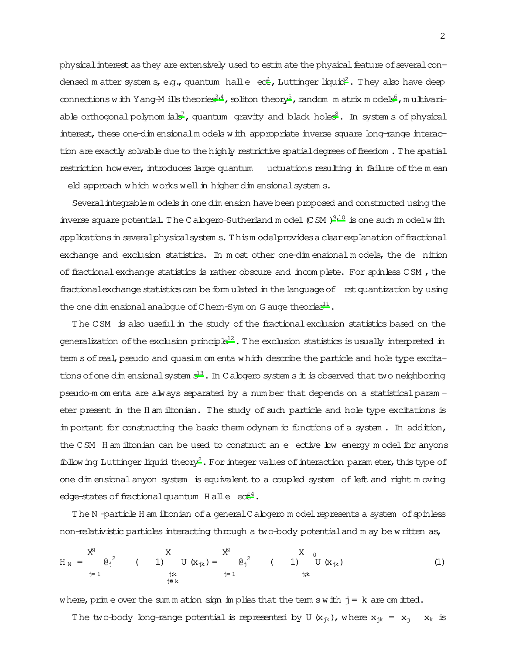physical interest as they are extensively used to est in ate the physical feature of several condensed matter system s, e.g., quantum halle  $ect.$ , Luttinger liquid<sup>2</sup>. They also have deep connections with Y ang-M ills theories<sup>3,4</sup>, soliton theory<sup>5</sup>, random m atrix m odels<sup>6</sup>, multivariable orthogonal polynom ials<sup>7</sup>, quantum gravity and black holes<sup>8</sup>. In system s of physical interest, these one-dim ensional m odels with appropriate inverse square long-range interaction are exactly solvable due to the highly restrictive spatial degrees of freedom. The spatial restriction however, introduces large quantum uctuations resulting in failure of the mean eld approach which works well in higher dim ensional system s.

Several integrable m odels in one dim ension have been proposed and constructed using the inverse square potential. The C abgero-Sutherland m odel  $(C SM)^{9,10}$  is one such m odel w ith applications in several physical system s. Thism odel provides a clear explanation of fractional exchange and exclusion statistics. In most other one-dimensional models, the de nition of fractional exchange statistics is rather obscure and incomplete. For spinless CSM, the fractional exchange statistics can be form ulated in the language of rst quantization by using the one dim ensional analogue of C hem-Sym on G auge theories<sup>11</sup>.

The CSM is also useful in the study of the fractional exclusion statistics based on the generalization of the exclusion principle<sup>12</sup>. The exclusion statistics is usually interpreted in tem s of real, pseudo and quasim om enta which describe the particle and hole type excitations of one dim ensional system  $s^{13}$ . In C alogero system s it is observed that two neighboring pseudo-m om enta are always separated by a number that depends on a statistical param eter present in the H am iltonian. The study of such particle and hole type excitations is in portant for constructing the basic them odynam ic functions of a system. In addition, the CSM Ham iltonian can be used to construct an e ective low energy model for anyons follow ing Luttinger liquid theory<sup>2</sup>. For integer values of interaction parameter, this type of one dimensional anyon system is equivalent to a coupled system of left and right moving edge-states of fractional quantum  $H$  alle  $ect<sup>4</sup>$ .

The N-particle H am iltonian of a general C alogero m odel represents a system of spinless non-relativistic particles interacting through a two-body potential and m ay be written as,

$$
H_N = \begin{matrix} X^N & X & X^N & X^N \\ 0 & 0 & 0 \end{matrix}
$$
 (1) 
$$
U(x_{jk}) = \begin{matrix} X^N & X^N & 0 \\ 0 & 0 & 0 \end{matrix}
$$
 (2) 
$$
U(x_{jk}) = \begin{matrix} 0 & 0 & 0 \\ 0 & 0 & 0 \end{matrix}
$$
 (3)

where, prime over the summation sign implies that the term s with  $j = k$  are omitted.

The two-body long-range potential is represented by U  $(x_{ik})$ , where  $x_{ik} = x_i - x_k$  is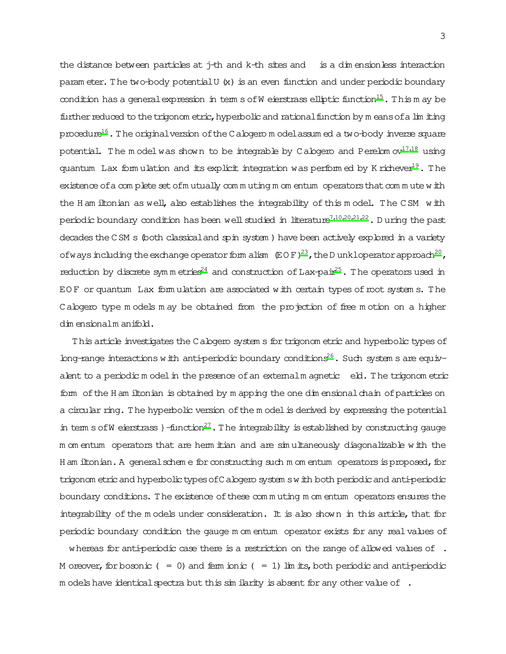the distance between particles at  $j$ -th and  $k$ -th sites and is a dimensionless interaction param eter. The two-body potentialU (x) is an even function and under periodic boundary condition has a general expression in term s of W eierstrass elliptic function<sup>15</sup>. This m ay be further reduced to the trigonom etric, hyperbolic and rational function by means of a lim iting procedure<sup>16</sup>. The original version of the C abover model assumed a two-body inverse square potential. The model was shown to be integrable by Calogero and Perelom  $ov^{17,18}$  using quantum Lax formulation and its explicit integration was performed by K richever<sup>19</sup>. The existence of a complete set of mutually commuting momentum operators that commute with the H am iltonian as well, also establishes the integrability of this model. The CSM with periodic boundary condition has been well studied in literature<sup>7,10,20,21,22</sup>. During the past decades the CSM s (both classical and spin system) have been actively explored in a variety of ways including the exchange operator form alism  $(EDF)^{23}$ , the D unkloperator approach<sup>20</sup>, reduction by discrete symmetries<sup>24</sup> and construction of Lax-pair<sup>25</sup>. The operators used in EOF or quantum Lax formulation are associated with certain types of root systems. The Cabgero type models may be obtained from the projection of free motion on a higher dimensionalmanifold.

This article investigates the Calogero system s for trigonom etric and hyperbolic types of long-range interactions with anti-periodic boundary conditions<sup>26</sup>. Such system s are equivalent to a periodic m odel in the presence of an external m agnetic eld. The trigonom etric form of the H am iltonian is obtained by m apping the one dimensional chain of particles on a circular ring. The hyperbolic version of the model is derived by expressing the potential in term s of W eierstrass  $\}$ -function<sup>27</sup>. The integrability is established by constructing gauge m om entum operators that are herm itian and are simultaneously diagonalizable with the H am iltonian. A general scheme for constructing such m om entum operators is proposed, for trigonom etric and hyperbolic types of C alogero system swith both periodic and anti-periodic boundary conditions. The existence of these commuting momentum operators ensures the integrability of the models under consideration. It is also shown in this article, that for periodic boundary condition the gauge m om entum operator exists for any real values of

whereas for anti-periodic case there is a restriction on the range of allowed values of  $\cdot$ . M or ever, for bosonic ( = 0) and fem ionic ( = 1) lim its, both periodic and anti-periodic m odels have identical spectra but this similarity is absent for any other value of .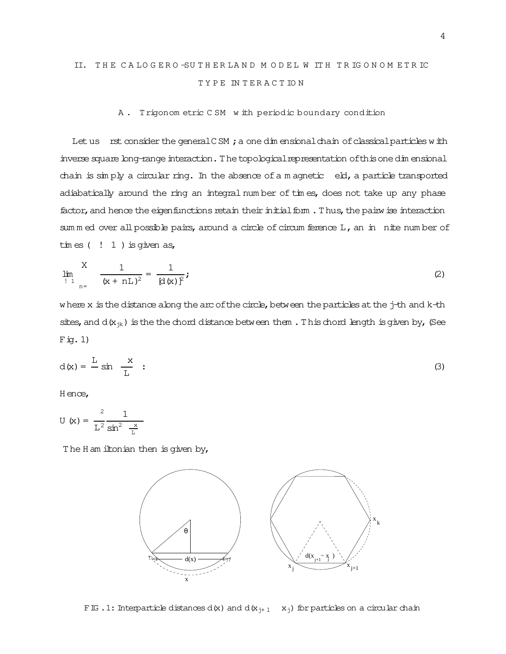## II. THE CALOGERO-SUTHERLAND MODEL W ITH TRIGONOM ETRIC TYPE INTERACTION

### A. Trigonom etric CSM with periodic boundary condition

Let us rst consider the general CSM; a one dimensional chain of classical particles with inverse square long-range interaction. The topological representation of this one dim ensional chain is simply a circular ring. In the absence of a magnetic eld, a particle transported adiabatically around the ring an integral number of times, does not take up any phase factor, and hence the eigenfunctions retain their initial form. Thus, the pairw ise interaction sum m ed over all possible pairs, around a circle of circum ference L, an in nite number of  $\lim \text{es}$  (  $\lim$  1 ) is given as,

$$
\lim_{\begin{array}{c} 1 \\ 1 \end{array}} \frac{1}{(x + nL)^2} = \frac{1}{(d(x))^2};
$$
 (2)

where x is the distance along the arc of the circle, between the particles at the j-th and k-th sites, and  $d(x_{jk})$  is the the chord distance between them. This chord length is given by, (See  $F \text{ig. 1}$ 

$$
d(x) = \frac{L}{m} \sin \frac{x}{L} \quad (3)
$$

H ence,

U (x) = 
$$
\frac{2}{L^2} \frac{1}{\sin^2 \frac{x}{L}}
$$

The H am iltonian then is given by,

<span id="page-3-0"></span>

FIG . 1: Interparticle distances d(x) and d( $x_{j+1}$  x<sub>j</sub>) for particles on a circular chain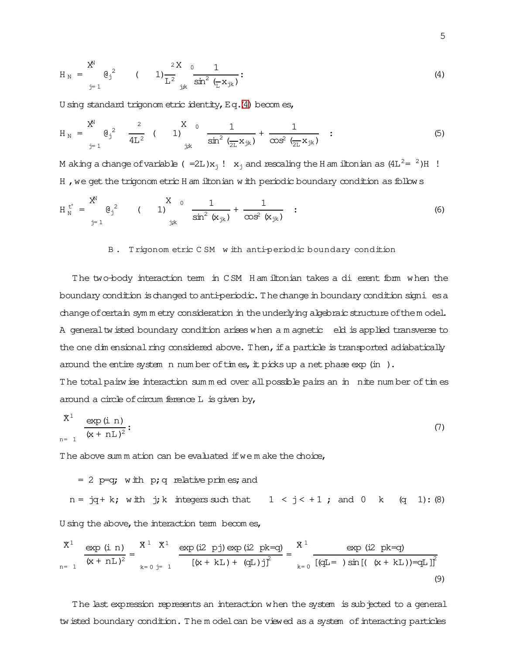$$
H_N = \sum_{j=1}^{X^N} \Theta_j^2 \qquad (1) \frac{2X}{L^2} \frac{0}{j^2} \frac{1}{\sin^2 (\frac{1}{L} x_{jk})}:
$$
 (4)

U sing standard trigonom etric identity, Eq.(4) becomes,

$$
H_N = \sum_{j=1}^{N^N} \left( \theta_j \right)^2 \frac{2}{4L^2} \left( 1 \right)^{N^0} \frac{1}{\sin^2 \left( \frac{1}{2L} x_{jk} \right)} + \frac{1}{\cos^2 \left( \frac{1}{2L} x_{jk} \right)} \quad . \tag{5}
$$

M aking a change of variable ( $=2L)x_1! x_1$  and rescaling the H am iltonian as  $(4L^2 = 2)H!$ H, we get the trigonom etric H am iltonian with periodic boundary condition as follows

$$
H_N^{t^+} = \begin{matrix} X^N & 0 & 1 \ 0 & 0 & 1 \end{matrix} \begin{matrix} X & 0 & 1 \ 0 & 0 & 1 \end{matrix} + \frac{1}{\cos^2(x_{jk})} : \tag{6}
$$

### <span id="page-4-2"></span><span id="page-4-1"></span>B. Trigonom etric CSM with anti-periodic boundary condition

The two-body interaction term in CSM Ham iltonian takes a di erent form when the boundary condition is changed to anti-periodic. The change in boundary condition signi es a change of certain symmetry consideration in the underlying algebraic structure of them odel. A general tw isted boundary condition arises when a m agnetic eld is applied transverse to the one dimensional ring considered above. Then, if a particle is transported adiabatically around the entire system n number of times, it picks up a net phase  $\exp$  (in ). The total pairw ise interaction summed over all possible pairs an in nite number of times around a circle of circum ference  $L$  is given by,

$$
\frac{\mathbf{x}^1}{(\mathbf{x} + \mathbf{n} \mathbf{L})^2} : \frac{\exp(i \mathbf{n})}{(\mathbf{x} + \mathbf{n} \mathbf{L})^2}
$$
 (7)

The above sum m ation can be evaluated if we m ake the choice,

<span id="page-4-0"></span>= 2 p=q; with p; q relative prime; and  
n = jq+ k; with j; k integers such that 
$$
1 < j < +1
$$
; and 0 k (q 1): (8)

U sing the above, the interaction term becomes,

$$
\frac{\dot{x}^{1}}{(x + nL)^{2}} = \frac{\dot{x}^{1} \dot{x}^{1}}{(x + nL)^{2}} = \frac{x^{1} \dot{x}^{1}}{(x + kL) + (qL)j^{2}} = \frac{x^{1}}{(x + kL) + (qL)j^{2}} = \frac{x^{1}}{(x + kL) + (qL)j^{2}} = \frac{x^{1}}{(x + kL) + (qL)j^{2}} = \frac{x^{1}}{(x + kL) + (qL)j^{2}} = \frac{x^{1}}{(x + kL) + (qL)j^{2}} = \frac{x^{1}}{(x + kL) + (qL)j^{2}} = \frac{x^{1}}{(x + kL) + (qL)j^{2}} = \frac{x^{1}}{(x + kL) + (qL)j^{2}} = \frac{x^{1}}{(x + kL) + (qL)j^{2}} = \frac{x^{1}}{(x + kL) + (qL)j^{2}} = \frac{x^{1}}{(x + kL) + (qL)j^{2}} = \frac{x^{1}}{(x + kL) + (qL)j^{2}} = \frac{x^{1}}{(x + kL) + (qL)j^{2}} = \frac{x^{1}}{(x + kL) + (qL)j^{2}} = \frac{x^{1}}{(x + kL) + (qL)j^{2}} = \frac{x^{1}}{(x + kL) + (qL)j^{2}} = \frac{x^{1}}{(x + kL) + (qL)j^{2}} = \frac{x^{1}}{(x + kL) + (qL)j^{2}} = \frac{x^{1}}{(x + kL) + (qL)j^{2}} = \frac{x^{1}}{(x + kL) + (qL)j^{2}} = \frac{x^{1}}{(x + kL) + (qL)j^{2}} = \frac{x^{1}}{(x + kL) + (qL)j^{2}} = \frac{x^{1}}{(x + kL) + (qL)j^{2}} = \frac{x^{1}}{(x + kL) + (qL)j^{2}} = \frac{x^{1}}{(x + kL) + (qL)j^{2}} = \frac{x^{1}}{(x + kL) + (qL)j^{2}} = \frac{x^{1}}{(x + kL) + (qL)j^{2}} = \frac{x^{1}}{(x + kL) + (qL)j^{2}} = \frac{x^{1}}{(x + kL) + (qL)j^{2}} = \frac{x^{1}}{(x + kL) + (qL)j^{2}} = \frac{x^{1}}{(x + kL) + (qL)j^{2}} = \frac{x^{
$$

The last expression represents an interaction when the system is subjected to a general tw isted boundary condition. The m odel can be viewed as a system of interacting particles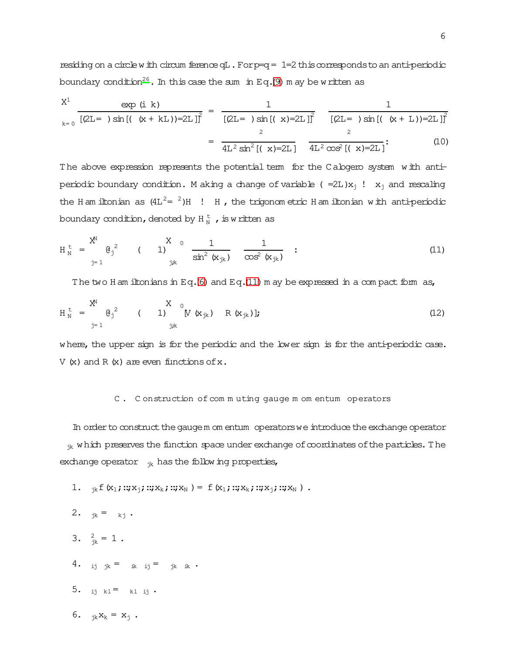residing on a circle with circum ference  $qL$ . For  $p=q = 1=2$  this corresponds to an anti-periodic boundary condition<sup>26</sup>. In this case the sum in Eq. (9) m ay be written as

$$
\frac{X^{1}}{k=0} \frac{\exp(i k)}{[(2L=1)\sin[(k+ kL))=2L]_{1}^{2}} = \frac{1}{[(2L=1)\sin[(k+2L)]^{2}} \frac{1}{[(2L=1)\sin[(k+L))=2L]_{1}^{2}}
$$

$$
= \frac{1}{4L^{2}\sin^{2}[(k+2L)]^{2}} \frac{1}{4L^{2}\cos^{2}[(k+2L)]^{2}} (10)
$$

The above expression represents the potential term for the Calogero system with antiperiodic boundary condition. M aking a change of variable ( $=2L)x_1$  !  $x_1$  and rescaling the H am iltonian as  $(4L^2 = 2)H$  ! H, the trigonom etric H am iltonian with anti-periodic boundary condition, denoted by  $H_{N}^{t}$ , is written as

$$
H_N^{\text{t}} = \sum_{j=1}^{X^N} \Theta_j^2
$$
 ( 1)  $\frac{X}{j!}$  0  $\frac{1}{\sin^2 (x_{jk})}$   $\frac{1}{\cos^2 (x_{jk})}$  : (11)

<span id="page-5-0"></span>The two H am iltonians in Eq. (6) and Eq. (11) m ay be expressed in a compact form as,

$$
H_N^{\text{t}} = \frac{X^N}{j=1} \theta_j^2
$$
 (1)  $\stackrel{X}{\underset{j,k}{\text{y}}(x_{jk})} R(x_{jk})$   $R(x_{jk})$  (12)

where, the upper sign is for the periodic and the lower sign is for the anti-periodic case.  $V(x)$  and R  $(x)$  are even functions of x.

#### C. Construction of commuting gauge momentum operators

In order to construct the gauge m om entum operators we introduce the exchange operator ik which preserves the function space under exchange of coordinates of the particles. The exchange operator  $_{ik}$  has the follow ing properties,

- 1.  ${}_{ik}f(x_1;::;x_i;::;x_k;::;x_N) = f(x_1;::;x_k;::;x_i;::;x_N)$ .
- 2.  ${}_{ik} = {}_{ki}$ .
- 3.  $\frac{2}{1} = 1$ .
- 4. ij jk = ik ij = jk ik ·
- 5. ij kl<sup>=</sup> kl ij ·
- 6.  ${}_{ik}x_k = x_i$ .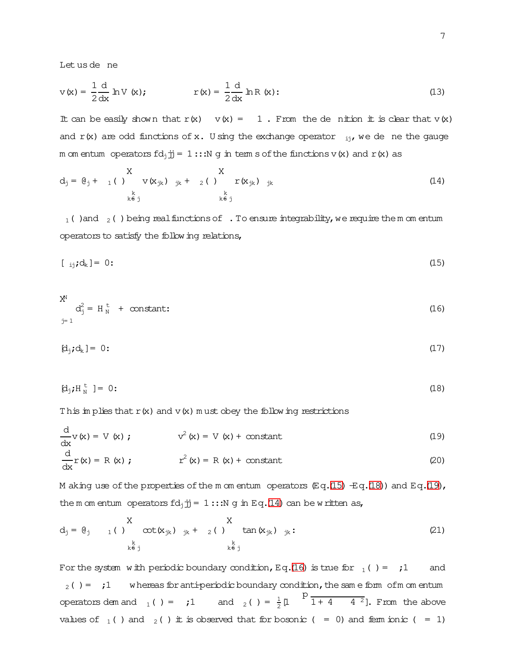<span id="page-6-5"></span>Let us de ne

$$
v(x) = \frac{1}{2} \frac{d}{dx} hV(x); \qquad r(x) = \frac{1}{2} \frac{d}{dx} hR(x); \qquad (13)
$$

It can be easily shown that  $r(x) = 1$ . From the dention it is clear that  $v(x)$ and  $r(x)$  are odd functions of x. U sing the exchange operator  $_{ij}$ , we de ne the gauge m om entum operators  $fd_i\overrightarrow{jj} = 1::N g$  in term s of the functions v(x) and r(x) as

<span id="page-6-3"></span>
$$
d_j = \varrho_j + \n\begin{array}{ccccc}\nX & & & & & \\
N & & & & & \\
N & & & & & \\
k & & & & & \\
k & & & & & \\
k & & & & & \\
k & & & & & \\
k & & & & & \\
k & & & & & \\
k & & & & & \\
k & & & & & \\
k & & & & & \\
k & & & & & \\
k & & & & & \\
k & & & & & \\
k & & & & & \\
k & & & & & \\
k & & & & & \\
k & & & & & \\
k & & & & & \\
k & & & & & \\
k & & & & & \\
k & & & & & \\
k & & & & & \\
k & & & & & \\
k & & & & & \\
k & & & & & \\
k & & & & & \\
k & & & & & \\
k & & & & & \\
k & & & & & \\
k & & & & & \\
k & & & & & \\
k & & & & & \\
k & & & & & \\
k & & & & & \\
k & & & & & \\
k & & & & & \\
k & & & & & \\
k & & & & & \\
k & & & & & \\
k & & & & & \\
k & & & & & \\
k & & &
$$

<span id="page-6-0"></span> $_1$  () and  $_2$  () being real functions of . To ensure integrability, we require the m om entum operators to satisfy the following relations,

$$
[j]_j \mathbf{d}_k] = 0 \tag{15}
$$

<span id="page-6-4"></span>
$$
X^N
$$
  
\n
$$
d_j^2 = H_N^t + \text{constant:}
$$
\n(16)

<span id="page-6-1"></span>
$$
[d_j; d_k] = 0:
$$
 (17)

$$
\left[\mathbf{d}_{j}\mathbf{j}H_{N}^{\mathrm{t}}\right]=0\tag{18}
$$

This implies that  $r(x)$  and  $v(x)$  must obey the following restrictions

<span id="page-6-2"></span>
$$
\frac{d}{dx}v(x) = V(x) ; \t v2(x) = V(x) + constant \t(19)\n\frac{d}{dx}r(x) = R(x) ; \t r2(x) = R(x) + constant \t(20)
$$

M aking use of the properties of the m om entum operators  $\mathbb{E}q.(15) \pm q.(18)$  and  $\mathbb{E}q.(19)$ , the m om entum operators  $fd_j$   $jj = 1$  ::: N g in Eq. (14) can be written as,

$$
d_j = \theta_j \qquad \qquad 1 \qquad ( \qquad ) \qquad \text{cot}(x_{jk}) \qquad j_k + 2 \qquad ( \qquad ) \qquad \text{tan}(x_{jk}) \qquad j_k: \qquad (21)
$$

For the system with periodic boundary condition, Eq. (16) is true for  $_1( ) = 11$ and  $_2$  () = ;1 whereas for anti-periodic boundary condition, the same form of m om entum operators dem and  $_1$  ( ) = ;1 and  $_2$  ( ) =  $\frac{1}{2}$  [l  $\frac{P}{1+4-4^2}$ ]. From the above values of  $_1$  ( ) and  $_2$  ( ) it is observed that for bosonic ( = 0) and ferm ionic ( = 1)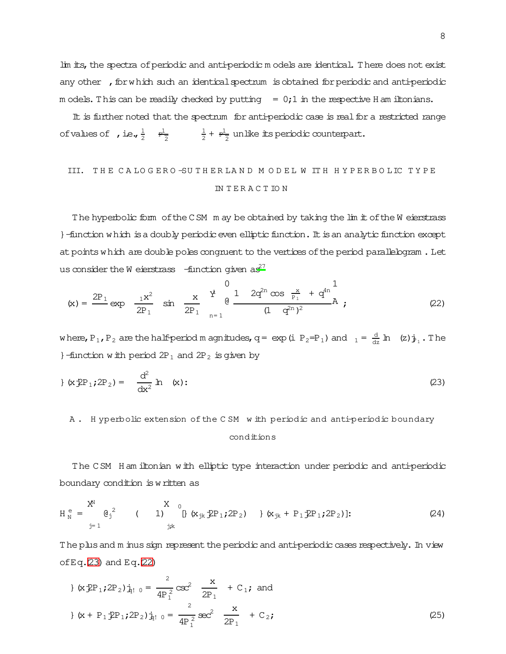lim its, the spectra of periodic and anti-periodic m odels are identical. There does not exist any other , for which such an identical spectrum is obtained for periodic and anti-periodic m odels. This can be readily checked by putting  $= 0;1$  in the respective H am iltonians.

It is further noted that the spectrum for anti-periodic case is real for a restricted range ofvalues of , i.e.,  $\frac{1}{2}$   $\frac{1}{2}$ 1  $\frac{1}{2}$  +  $\frac{1}{2}$  unlike its periodic counterpart.

# III. THE CALOGERO-SUTHERLAND MODEL WITH HYPERBOLIC TYPE IN T E R A C T IO N

The hyperbolic form of the CSM m ay be obtained by taking the lim it of the W eierstrass }-function which is a doubly periodic even elliptic function. It is an analytic function except at points which are double poles congruent to the vertices of the period parallelogram. Let us consider the W eierstrass  $-$ function given as<sup>[27](#page-12-20)</sup>

$$
(\mathbf{x}) = \frac{2P_1}{2P_1} \exp \frac{\mathbf{x}^2}{2P_1} \sin \frac{\mathbf{x}}{2P_1} \frac{\dot{\mathbf{x}}}{n=1}^1 \frac{1}{(1-q^{2n})^2} \mathbf{A} ; \qquad (22)
$$

where,  $P_1$ ,  $P_2$  are the half-period m agnitudes,  $q=$  exp(i  $P_2=P_1$ ) and  $1 = \frac{d}{dz}$   $ln$  (z) $j_1$ . The }-function with period  $2P_1$  and  $2P_2$  is given by

$$
g(x \oplus P_1; 2P_2) = \frac{d^2}{dx^2} \ln(x); \qquad (23)
$$

A. H yperbolic extension of the CSM w ith periodic and anti-periodic boundary

### <span id="page-7-3"></span><span id="page-7-1"></span><span id="page-7-0"></span>conditions

The CSM H am iltonian with elliptic type interaction under periodic and anti-periodic boundary condition iswritten as

$$
H_N^e = \bigotimes_{j=1}^{X^N} \theta_j^2
$$
 (1)  $\bigotimes_{j,k} \{x_{jk} \oplus P_1; 2P_2\}$  (24)

The plus and m inus sign represent the periodic and anti-periodic cases respectively. In view ofEq. $(23)$  and Eq. $(22)$ 

<span id="page-7-2"></span>
$$
\{ \exp_{1} 2P_{2} \}_{\frac{1}{2}! \ 0} = \frac{2}{4P_{1}^{2}} \csc^{2} \frac{x}{2P_{1}} + C_{1}; \text{ and}
$$
  

$$
\{ \exp_{1} 2P_{1}; 2P_{2} \}_{\frac{1}{2}! \ 0} = \frac{2}{4P_{1}^{2}} \sec^{2} \frac{x}{2P_{1}} + C_{2}; \tag{25}
$$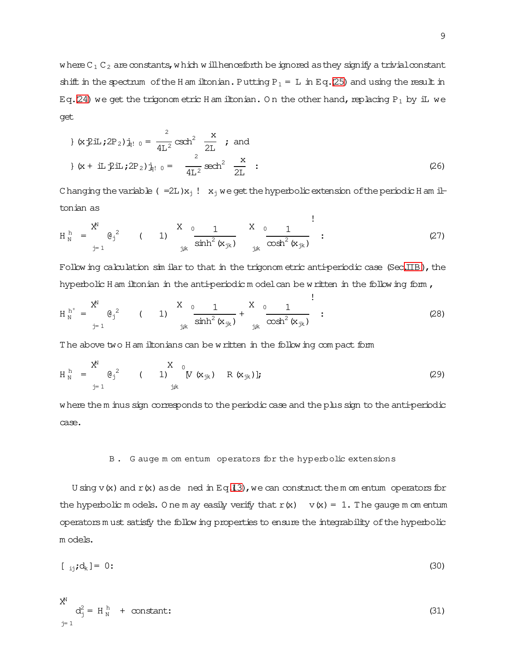where  $C_1$   $C_2$  are constants, which will henceforth beignored as they signify a trivial constant shift in the spectrum of the H am iltonian. Putting  $P_1 = L$  in Eq[.\(25\)](#page-7-2) and using the result in Eq[.\(24\)](#page-7-3) we get the trigonom etric H am iltonian. On the other hand, replacing P<sub>1</sub> by iL we get

$$
\{x \text{ in } (x \text{ in } (2P_2) \text{ in } \mathbb{R}^2 \text{ such that } \frac{2}{2} \text{ such that } (2P_2) \text{ in } \mathbb{R}^2 \text{ such that } \frac{2}{4} \text{ in } (2P_2) \text{ in } \mathbb{R}^2 \text{ such that } \frac{2}{4} \text{ in } (2P_2) \text{ in } \mathbb{R}^2 \text{ such that } \frac{2}{4} \text{ in } (2P_2) \text{ in } \mathbb{R}^2 \text{ such that } \frac{2}{4} \text{ in } (2P_2) \text{ in } (2P_2) \text{ in } \mathbb{R}^2 \text{ such that } \frac{2}{4} \text{ in } (2P_2) \text{ in } (2P_2) \text{ in } \mathbb{R}^2 \text{ such that } \frac{2}{4} \text{ in } (2P_2) \text{ in } (2P_2) \text{ in } \mathbb{R}^2 \text{ such that } \frac{2}{4} \text{ in } (2P_2) \text{ in } (2P_2) \text{ in } \mathbb{R}^2 \text{ such that } \frac{2}{4} \text{ in } (2P_2) \text{ in } (2P_2) \text{ in } (2P_2) \text{ in } (2P_2) \text{ in } (2P_2) \text{ in } (2P_2) \text{ in } (2P_2) \text{ in } (2P_2) \text{ in } (2P_2) \text{ in } (2P_2) \text{ in } (2P_2) \text{ in } (2P_2) \text{ in } (2P_2) \text{ in } (2P_2) \text{ in } (2P_2) \text{ in } (2P_2) \text{ in } (2P_2) \text{ in } (2P_2) \text{ in } (2P_2) \text{ in } (2P_2) \text{ in } (2P_2) \text{ in } (2P_2) \text{ in } (2P_2) \text{ in } (2P_2) \text{ in } (2P_2) \text{ in } (2P_2) \text{ in } (2P_2) \text{ in } (2P_2) \text{ in } (2P_2) \text{ in } (2P_2) \text{ in } (2P_2) \text{ in } (2P_2) \text{ in } (2P_2) \text{ in } (2P_
$$

Changing the variable (=2L) $x_i$  !  $x_i$  we get the hyperbolic extension of the periodic H am iltonian as

!

!

$$
H_N^h = \frac{X^N}{j-1} \theta_j^2
$$
 (1)  $\frac{X_0}{\sinh^2(x_{jk})} \frac{1}{j^k} \frac{X_0}{\cosh^2(x_{jk})}$  : (27)

Following calculation similar to that in the trigonom etric anti-periodic case (Sec[.IIB\)](#page-4-2), the hyperbolic H am iltonian in the anti-periodic model can be written in the following form,

$$
H_N^{h^+} = \frac{X^N}{j=1} \theta_j^2
$$
 (1)  $\frac{X_0}{j,k} \frac{1}{\sinh^2(\mathbf{x}_{jk})} + \frac{X_0}{j,k} \frac{1}{\cosh^2(\mathbf{x}_{jk})}$  : (28)

The above two H am iltonians can be written in the following compact form

$$
H_N^h = \sum_{j=1}^{X^N} \theta_j^2
$$
 (1)  $\sum_{j,k}^N (x_{jk}) R(x_{jk})$ ]; (29)

where the m inus sign corresponds to the periodic case and the plus sign to the anti-periodic case.

### B . G auge m om entum operators for the hyperbolic extensions

U sing v(x) and r(x) as denced in Eq[.\(13\)](#page-6-5), we can construct the m om entum operators for the hyperbolic m odels. O ne m ay easily verify that  $r(x) \quad v(x) = 1$ . The gauge m om entum operatorsm ust satisfy the following properties to ensure the integrability ofthe hyperbolic m odels.

$$
[j_{ij};d_k]=0:
$$
 (30)

$$
x^N
$$
  
\n
$$
d_j^2 = H_N^h + \text{constant:}
$$
\n(31)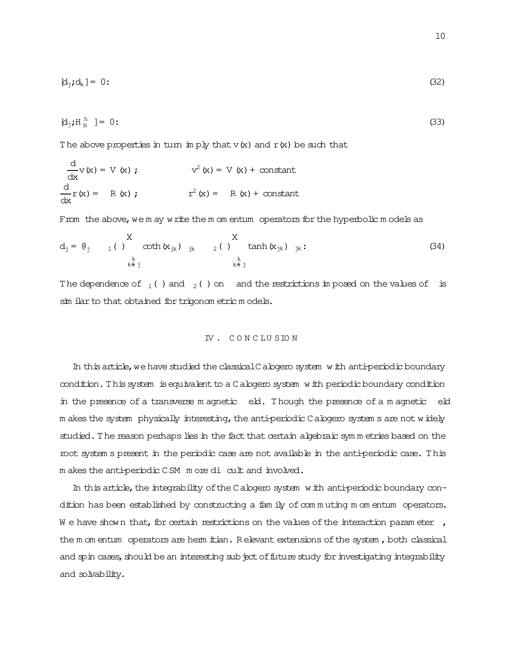$$
[d_j; d_k] = 0:
$$
 (32)

$$
\left[\mathbf{d}_j\mathbf{H}_N^{\mathrm{h}}\right] = 0 \tag{33}
$$

The above properties in turn imply that  $v(x)$  and  $r(x)$  be such that

$$
\frac{d}{dx}v(x) = V(x) ; \qquad v^2(x) = V(x) + constant
$$
  

$$
\frac{d}{dx}r(x) = R(x) ; \qquad r^2(x) = R(x) + constant
$$

From the above, we m ay write the m om entum operators for the hyperbolic models as

$$
d_j = \theta_j \t x \t x_{jk} \t y_{jk} \t y_{jk} \t z()
$$

The dependence of  $_1$  () and  $_2$  () on and the restrictions in posed on the values of is sim ilar to that obtained for trigonom etric models.

#### IV. CONCLUSION

In this article, we have studied the classical C alogero system with anti-periodic boundary condition. This system is equivalent to a C alogero system with periodic boundary condition in the presence of a transverse magnetic eld. Though the presence of a magnetic eld m akes the system physically interesting, the anti-periodic C alogero system s are not widely studied. The reason perhaps lies in the fact that certain algebraic symmetries based on the root systems present in the periodic case are not available in the anti-periodic case. This m akes the anti-periodic CSM m ore di cult and involved.

In this article, the integrability of the C alogero system with anti-periodic boundary condition has been established by constructing a fam ily of commuting momentum operators. We have shown that, for certain restrictions on the values of the interaction parameter, the m om entum operators are hem itian. Relevant extensions of the system, both classical and spin cases, should be an interesting subject of future study for investigating integrability and solvability.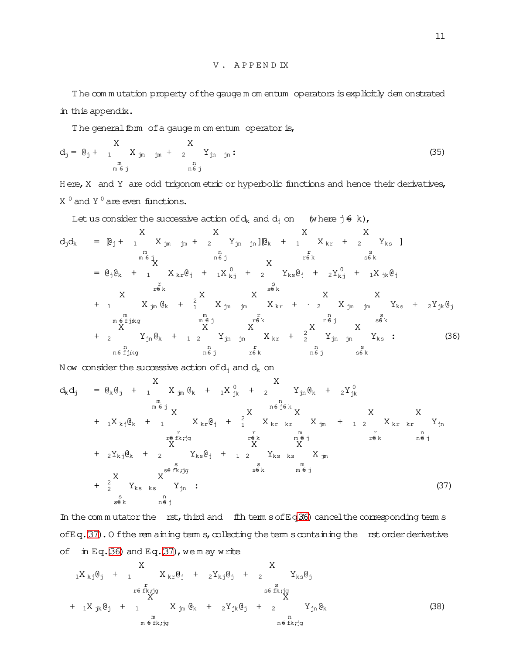The com m utation property of the gauge m om entum operators is explicitly dem onstrated in thisappendix.

The general form of a gauge m om entum operator is,

$$
d_j = \mathbf{e}_j + \begin{array}{ccc} X & X \\ 1 & X_{jm} \\ m_{j} & m_{j} \\ m_{j} & m_{j} \\ m_{j} & m_{j} \\ m_{j} & m_{j} \\ m_{j} & m_{j} \\ m_{j} & m_{j} \\ m_{j} & m_{j} \\ m_{j} & m_{j} \\ m_{j} & m_{j} \\ m_{j} & m_{j} \\ m_{j} & m_{j} \\ m_{j} & m_{j} \\ m_{j} & m_{j} \\ m_{j} & m_{j} \\ m_{j} & m_{j} \\ m_{j} & m_{j} \\ m_{j} & m_{j} \\ m_{j} & m_{j} \\ m_{j} & m_{j} \\ m_{j} & m_{j} \\ m_{j} & m_{j} \\ m_{j} & m_{j} \\ m_{j} & m_{j} \\ m_{j} & m_{j} \\ m_{j} & m_{j} \\ m_{j} & m_{j} \\ m_{j} & m_{j} \\ m_{j} & m_{j} \\ m_{j} & m_{j} \\ m_{j} & m_{j} \\ m_{j} & m_{j} \\ m_{j} & m_{j} \\ m_{j} & m_{j} \\ m_{j} & m_{j} \\ m_{j} & m_{j} \\ m_{j} & m_{j} \\ m_{j} & m_{j} \\ m_{j} & m_{j} \\ m_{j} & m_{j} \\ m_{j} & m_{j} \\ m_{j} & m_{j} \\ m_{j} & m_{j} \\ m_{j} & m_{j} \\ m_{j} & m_{j} \\ m_{j} & m_{j} \\ m_{j} & m_{j} \\ m_{j} & m_{j} \\ m_{j} & m_{j} \\ m_{j} & m_{j} \\ m_{j} & m_{j} \\ m_{j} & m_{j} \\ m_{j} & m_{j} \\ m_{j} & m_{j} \\ m_{j} & m_{j} \\ m_{j} & m_{j} \\ m_{j} & m_{j} \\ m_{j} & m_{j} \\ m_{j} & m_{j} \\ m_{j} & m_{j} \\ m_{j} & m_{j} \\ m_{j} &
$$

H ere, X and Y are odd trigonom etric or hyperbolic functions and hence their derivatives,  $X<sup>0</sup>$  and Y<sub> $<sup>0</sup>$ </sub> are even functions.</sub></sup>

<span id="page-10-0"></span>Let us consider the successive action of 
$$
d_k
$$
 and  $d_j$  on (where  $j \in k$ ),  
\n
$$
d_j d_k = [\mathbf{e}_j + 1 \t X_{jm} j_m + 2 \t Y_{jn} j_n] [\mathbf{e}_k + 1 \t X_{kr} + 2 \t Y_{ks}]
$$
\n
$$
= [\mathbf{e}_j \mathbf{e}_k + 1 \t X_{kr} \mathbf{e}_j + 1 \t X_{kj} + 2 \t X_{ks} \mathbf{e}_j + 2 \t X_{ks} \mathbf{e}_j + 2 \t X_{ks} \mathbf{e}_j + 2 \t X_{ks} \mathbf{e}_j + 2 \t X_{ks} \mathbf{e}_j + 2 \t X_{ks} \mathbf{e}_j + 2 \t X_{ks} \mathbf{e}_j + 2 \t X_{ks} \mathbf{e}_j + 2 \t X_{ks} \mathbf{e}_j + 2 \t X_{ks} \mathbf{e}_j + 2 \t X_{ks} \mathbf{e}_j + 2 \t X_{ks} \mathbf{e}_j + 2 \t X_{ks} \mathbf{e}_j + 2 \t X_{ks} \mathbf{e}_j + 2 \t X_{ks} \mathbf{e}_j + 2 \t X_{ks} \mathbf{e}_j + 2 \t X_{ks} \mathbf{e}_j + 2 \t X_{ks} \mathbf{e}_j + 2 \t X_{ks} \mathbf{e}_j + 2 \t X_{ks} \mathbf{e}_j + 2 \t X_{ks} \mathbf{e}_j + 2 \t X_{ks} \mathbf{e}_j + 2 \t X_{ks} \mathbf{e}_j + 2 \t X_{ks} \mathbf{e}_j + 2 \t X_{ks} \mathbf{e}_j + 2 \t X_{ks} \mathbf{e}_j + 2 \t X_{ks} \mathbf{e}_j + 2 \t X_{ks} \mathbf{e}_j + 2 \t X_{ks} \mathbf{e}_j + 2 \t X_{ks} \mathbf{e}_j + 2 \t X_{ks} \mathbf{e}_j + 2 \t X_{ks} \mathbf{e}_j + 2 \t X_{ks} \mathbf{e}_j + 2 \t X_{ks} \mathbf{e}_j + 2 \t X_{ks} \mathbf{e}_j + 2 \t X_{ks} \mathbf{e}_j + 2 \t X_{ks} \mathbf{e}_j + 2 \t X_{ks} \mathbf{e}_j +
$$

N ow consider the successive action of  $d_i$  and  $d_k$  on

<span id="page-10-1"></span>dkd<sup>j</sup> = @k@<sup>j</sup> + <sup>1</sup> X m m 6= j X jm @<sup>k</sup> + <sup>1</sup>X 0 jk + <sup>2</sup> X n n6= j6= k Yjn@<sup>k</sup> + <sup>2</sup>Y 0 jk + <sup>1</sup>X kj@<sup>k</sup> + <sup>1</sup> X r r6= fk;jg X kr@<sup>j</sup> + 2 1 X r r6= k X kr kr X m m 6= j X jm + <sup>1</sup> <sup>2</sup> X r r6= k X kr kr X n n6= j Yjn + <sup>2</sup>Ykj@<sup>k</sup> + <sup>2</sup> X s s6= fk;jg Yks@<sup>j</sup> + <sup>1</sup> <sup>2</sup> X s s6= k Yks ks X m m 6= j X jm + 2 2 X s s6= k Yks ks X n n6= j Yjn : (37)

In the commutator the rst, third and fth term  $s$  of Eq.3(6) cancel the corresponding term s of Eq.[\(37\)](#page-10-1). O f the rem aining term s, collecting the term s containing the rst order derivative of in Eq[.\(36\)](#page-10-0) and Eq[.\(37\)](#page-10-1), we m ay write

<span id="page-10-2"></span>
$$
{}_{1}X_{kj} \mathbf{\theta}_{j} + {}_{1}X_{kr} \mathbf{\theta}_{j} + {}_{2}Y_{kj} \mathbf{\theta}_{j} + {}_{2}X_{ks} \mathbf{\theta}_{j}
$$
  
\n
$$
+ {}_{1}X_{jk} \mathbf{\theta}_{j} + {}_{1}X_{jm} \mathbf{\theta}_{k} + {}_{2}Y_{jk} \mathbf{\theta}_{j} + {}_{2}X_{jn} \mathbf{\theta}_{k}
$$
  
\n
$$
+ {}_{1}X_{jk} \mathbf{\theta}_{j} + {}_{1}X_{jm} \mathbf{\theta}_{k} + {}_{2}Y_{jk} \mathbf{\theta}_{j} + {}_{2}X_{jn} \mathbf{\theta}_{k}
$$
  
\n
$$
{}_{m \in f k, jg}^{m}
$$
  
\n
$$
{}_{m \in f k, jg}^{n}
$$
  
\n(38)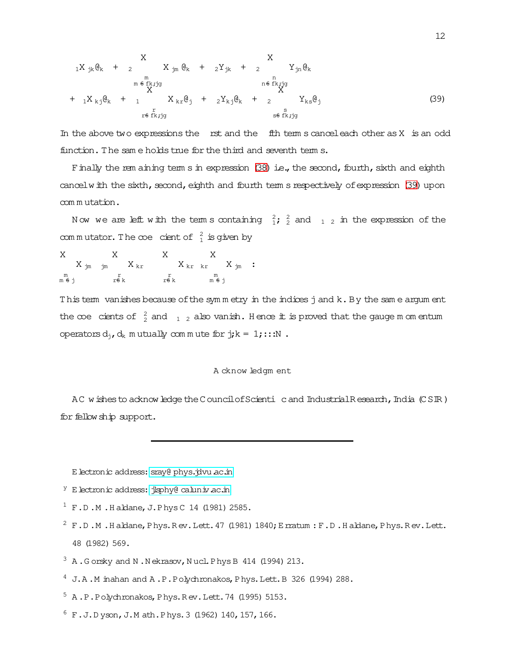<span id="page-11-8"></span>
$$
{}_{1}X_{jk}\mathbf{e}_{k} + {}_{2}X_{jm}\mathbf{e}_{k} + {}_{2}Y_{jk} + {}_{2}X_{jm}\mathbf{e}_{k}
$$
\n
$$
{}_{m} \epsilon_{fk,jg}^{m}
$$
\n
$$
{}_{1}X_{kj}\mathbf{e}_{k} + {}_{1}X_{kr}\mathbf{e}_{j} + {}_{2}Y_{kj}\mathbf{e}_{k} + {}_{2}X_{ks}\mathbf{e}_{j}
$$
\n
$$
{}_{r} \epsilon_{fk,jg}
$$
\n
$$
{}_{r} \epsilon_{fk,jg}
$$
\n
$$
{}_{r} \epsilon_{fk,jg}
$$
\n
$$
{}_{s} \epsilon_{fk,jg}
$$
\n
$$
{}_{s} \epsilon_{fk,jg}
$$
\n
$$
(39)
$$

In the above two expressions the rst and the fith term s cancel each other as  $X$  is an odd function. The same holds true for the third and seventh terms.

Finally the rem aining term s in expression (38) i.e., the second, fourth, sixth and eighth cancel with the sixth, second, eighth and fourth tem s respectively of expression (39) upon commutation.

Now we are left with the terms containing  $\frac{2}{1}$ ;  $\frac{2}{2}$  and  $\frac{1}{1}$  in the expression of the commutator. The coe cient of  $\frac{2}{1}$  is given by

 $\begin{array}{cccc}\nX & & X \\
X & & K & & X \\
& X_{\text{kr}} & & X_{\text{jm}}\n\end{array} \,:\,$ X X  $X_{\text{im}}$   $\dot{m}$   $X_{\text{kr}}$  $m \nleftrightarrow j$ r<br>r<del>6</del> k r<br>r<del>fi</del>k ⊥⊪<br>m€i

This term vanishes because of the symmetry in the indices j and k. By the same argument the coe cients of  $\frac{2}{2}$  and  $\frac{1}{1}$  also vanish. Hence it is proved that the gauge m om entum operators  $d_j$ ,  $d_k$  m utually commute for  $j$ ;  $k = 1$ ; :: N.

### A cknow ledgm ent

AC wishes to acknow ledge the Council of Scienti c and Industrial Research, India (CSIR) for fellow ship support.

E lectronic address: sray@ phys.jdvu ac.in

- <span id="page-11-1"></span><span id="page-11-0"></span><sup>Y</sup> E lectronic address: jkphy@caluniv.ac.in
- <span id="page-11-2"></span><sup>1</sup> F.D.M. Haldane, J. Phys C 14 (1981) 2585.
- <span id="page-11-3"></span> $2 F.D.M.$  Haldane, Phys. Rev. Lett. 47 (1981) 1840; E matum: F.D. Haldane, Phys. Rev. Lett. 48 (1982) 569.
- <span id="page-11-4"></span> $3\,$  A. Gorsky and N. Nekrasov, Nucl. Phys B 414 (1994) 213.
- <span id="page-11-5"></span><sup>4</sup> J.A.M inahan and A.P.Polychronakos, Phys.Lett. B 326 (1994) 288.
- <span id="page-11-6"></span> $5$  A.P.Polychronakos, Phys.Rev.Lett.74 (1995) 5153.
- <span id="page-11-7"></span> $6 F. J.D yson, J.M ath.Phys. 3 (1962) 140, 157, 166.$